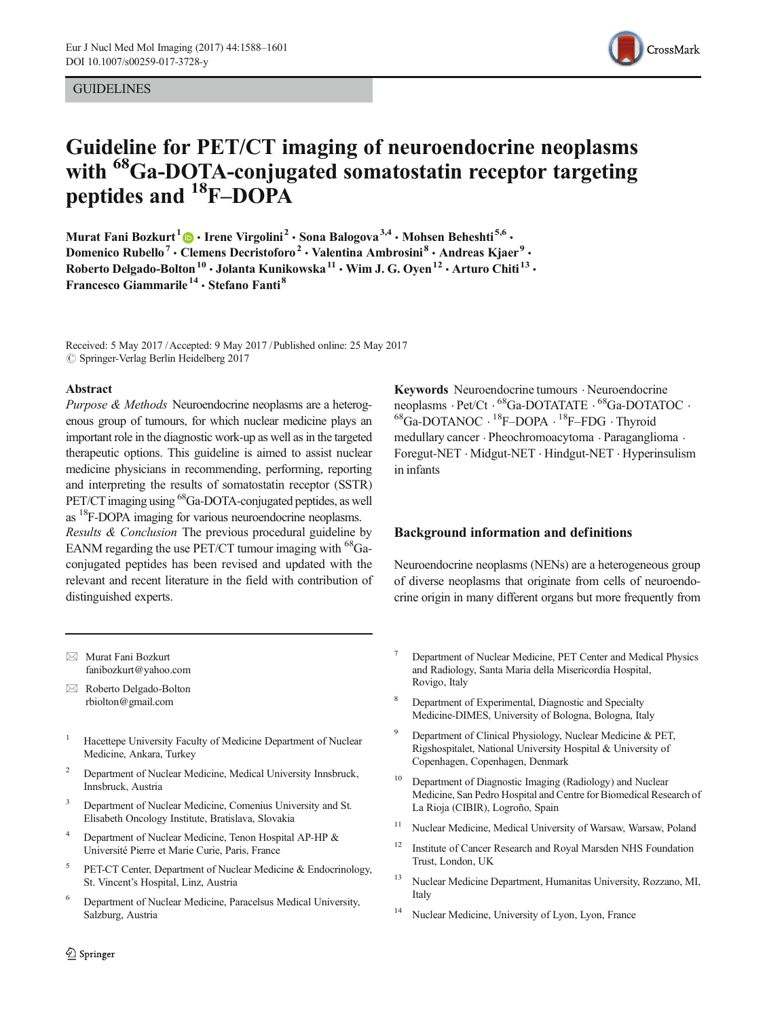#### **GUIDELINES**



# Guideline for PET/CT imaging of neuroendocrine neoplasms with <sup>68</sup>Ga-DOTA-conjugated somatostatin receptor targeting peptides and <sup>18</sup>F-DOPA

Murat Fani Bozkurt<sup>1</sup>  $\bullet$  · Irene Virgolini<sup>2</sup> · Sona Balogova<sup>3,4</sup> · Mohsen Beheshti<sup>5,6</sup> · Domenico Rubello<sup>7</sup> · Clemens Decristoforo<sup>2</sup> · Valentina Ambrosini<sup>8</sup> · Andreas Kjaer<sup>9</sup> · Roberto Delgado-Bolton<sup>10</sup> • Jolanta Kunikowska<sup>11</sup> • Wim J. G. Oyen<sup>12</sup> • Arturo Chiti<sup>13</sup> • Francesco Giammarile<sup>14</sup> · Stefano Fanti<sup>8</sup>

Received: 5 May 2017 /Accepted: 9 May 2017 /Published online: 25 May 2017  $\oslash$  Springer-Verlag Berlin Heidelberg 2017

#### Abstract

Purpose & Methods Neuroendocrine neoplasms are a heterogenous group of tumours, for which nuclear medicine plays an important role in the diagnostic work-up as well as in the targeted therapeutic options. This guideline is aimed to assist nuclear medicine physicians in recommending, performing, reporting and interpreting the results of somatostatin receptor (SSTR) PET/CT imaging using <sup>68</sup>Ga-DOTA-conjugated peptides, as well as 18F-DOPA imaging for various neuroendocrine neoplasms. Results & Conclusion The previous procedural guideline by EANM regarding the use PET/CT tumour imaging with  $^{68}$ Ga-

conjugated peptides has been revised and updated with the relevant and recent literature in the field with contribution of distinguished experts.

 $\boxtimes$  Murat Fani Bozkurt [fanibozkurt@yahoo.com](mailto:rbiolton@gmail.com)

 $\boxtimes$  Roberto Delgado-Bolton [rbiolton@gmail.com](mailto:rbiolton@gmail.com)

- <sup>1</sup> Hacettepe University Faculty of Medicine Department of Nuclear Medicine, Ankara, Turkey
- <sup>2</sup> Department of Nuclear Medicine, Medical University Innsbruck, Innsbruck, Austria
- <sup>3</sup> Department of Nuclear Medicine, Comenius University and St. Elisabeth Oncology Institute, Bratislava, Slovakia
- Department of Nuclear Medicine, Tenon Hospital AP-HP & Université Pierre et Marie Curie, Paris, France
- <sup>5</sup> PET-CT Center, Department of Nuclear Medicine & Endocrinology, St. Vincent's Hospital, Linz, Austria
- <sup>6</sup> Department of Nuclear Medicine, Paracelsus Medical University, Salzburg, Austria

Keywords Neuroendocrine tumours . Neuroendocrine neoplasms  $\cdot$  Pet/Ct  $\cdot$  <sup>68</sup>Ga-DOTATATE  $\cdot$  <sup>68</sup>Ga-DOTATOC  $\cdot$ 68Ga-DOTANOC . 18F–DOPA . 18F–FDG . Thyroid medullary cancer . Pheochromoacytoma . Paraganglioma . Foregut-NET . Midgut-NET . Hindgut-NET . Hyperinsulism in infants

#### Background information and definitions

Neuroendocrine neoplasms (NENs) are a heterogeneous group of diverse neoplasms that originate from cells of neuroendocrine origin in many different organs but more frequently from

- <sup>7</sup> Department of Nuclear Medicine, PET Center and Medical Physics and Radiology, Santa Maria della Misericordia Hospital, Rovigo, Italy
- Department of Experimental, Diagnostic and Specialty Medicine-DIMES, University of Bologna, Bologna, Italy
- Department of Clinical Physiology, Nuclear Medicine & PET, Rigshospitalet, National University Hospital & University of Copenhagen, Copenhagen, Denmark
- <sup>10</sup> Department of Diagnostic Imaging (Radiology) and Nuclear Medicine, San Pedro Hospital and Centre for Biomedical Research of La Rioja (CIBIR), Logroño, Spain
- <sup>11</sup> Nuclear Medicine, Medical University of Warsaw, Warsaw, Poland
- <sup>12</sup> Institute of Cancer Research and Royal Marsden NHS Foundation Trust, London, UK
- <sup>13</sup> Nuclear Medicine Department, Humanitas University, Rozzano, MI, Italy
- <sup>14</sup> Nuclear Medicine, University of Lyon, Lyon, France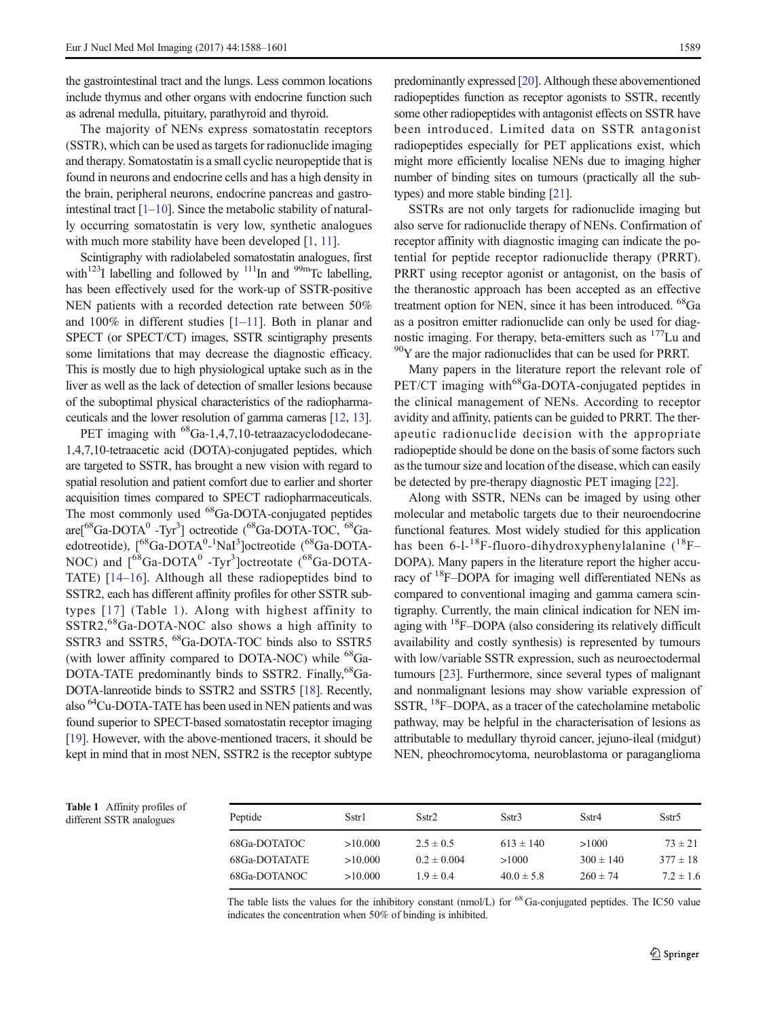the gastrointestinal tract and the lungs. Less common locations include thymus and other organs with endocrine function such as adrenal medulla, pituitary, parathyroid and thyroid.

The majority of NENs express somatostatin receptors (SSTR), which can be used as targets for radionuclide imaging and therapy. Somatostatin is a small cyclic neuropeptide that is found in neurons and endocrine cells and has a high density in the brain, peripheral neurons, endocrine pancreas and gastrointestinal tract  $[1-10]$  $[1-10]$  $[1-10]$  $[1-10]$  $[1-10]$ . Since the metabolic stability of naturally occurring somatostatin is very low, synthetic analogues with much more stability have been developed [\[1,](#page-11-0) [11](#page-11-0)].

Scintigraphy with radiolabeled somatostatin analogues, first with<sup>123</sup>I labelling and followed by  $111$ In and  $99$ mTc labelling, has been effectively used for the work-up of SSTR-positive NEN patients with a recorded detection rate between 50% and 100% in different studies [\[1](#page-11-0)–[11](#page-11-0)]. Both in planar and SPECT (or SPECT/CT) images, SSTR scintigraphy presents some limitations that may decrease the diagnostic efficacy. This is mostly due to high physiological uptake such as in the liver as well as the lack of detection of smaller lesions because of the suboptimal physical characteristics of the radiopharmaceuticals and the lower resolution of gamma cameras [\[12,](#page-11-0) [13](#page-11-0)].

PET imaging with <sup>68</sup>Ga-1,4,7,10-tetraazacyclododecane-1,4,7,10-tetraacetic acid (DOTA)-conjugated peptides, which are targeted to SSTR, has brought a new vision with regard to spatial resolution and patient comfort due to earlier and shorter acquisition times compared to SPECT radiopharmaceuticals. The most commonly used <sup>68</sup>Ga-DOTA-conjugated peptides are[<sup>68</sup>Ga-DOTA<sup>0</sup> -Tyr<sup>3</sup>] octreotide (<sup>68</sup>Ga-DOTA-TOC, <sup>68</sup>Gaedotreotide), [<sup>68</sup>Ga-DOTA<sup>0</sup>-<sup>1</sup>NaI<sup>3</sup>]octreotide (<sup>68</sup>Ga-DOTA-NOC) and  $[$ <sup>68</sup>Ga-DOTA<sup>0</sup> -Tyr<sup>3</sup>]octreotate (<sup>68</sup>Ga-DOTA-TATE) [\[14](#page-11-0)–[16\]](#page-11-0). Although all these radiopeptides bind to SSTR2, each has different affinity profiles for other SSTR subtypes [[17\]](#page-11-0) (Table 1). Along with highest affinity to SSTR2,<sup>68</sup>Ga-DOTA-NOC also shows a high affinity to SSTR3 and SSTR5, <sup>68</sup>Ga-DOTA-TOC binds also to SSTR5 (with lower affinity compared to DOTA-NOC) while <sup>68</sup>Ga-DOTA-TATE predominantly binds to SSTR2. Finally,<sup>68</sup>Ga-DOTA-lanreotide binds to SSTR2 and SSTR5 [[18](#page-11-0)]. Recently, also 64Cu-DOTA-TATE has been used in NEN patients and was found superior to SPECT-based somatostatin receptor imaging [\[19\]](#page-11-0). However, with the above-mentioned tracers, it should be kept in mind that in most NEN, SSTR2 is the receptor subtype

predominantly expressed [\[20\]](#page-11-0). Although these abovementioned radiopeptides function as receptor agonists to SSTR, recently some other radiopeptides with antagonist effects on SSTR have been introduced. Limited data on SSTR antagonist radiopeptides especially for PET applications exist, which might more efficiently localise NENs due to imaging higher number of binding sites on tumours (practically all the subtypes) and more stable binding [[21](#page-11-0)].

SSTRs are not only targets for radionuclide imaging but also serve for radionuclide therapy of NENs. Confirmation of receptor affinity with diagnostic imaging can indicate the potential for peptide receptor radionuclide therapy (PRRT). PRRT using receptor agonist or antagonist, on the basis of the theranostic approach has been accepted as an effective treatment option for NEN, since it has been introduced. <sup>68</sup>Ga as a positron emitter radionuclide can only be used for diagnostic imaging. For therapy, beta-emitters such as  $177$ Lu and 90Y are the major radionuclides that can be used for PRRT.

Many papers in the literature report the relevant role of  $PET/CT$  imaging with<sup>68</sup>Ga-DOTA-conjugated peptides in the clinical management of NENs. According to receptor avidity and affinity, patients can be guided to PRRT. The therapeutic radionuclide decision with the appropriate radiopeptide should be done on the basis of some factors such as the tumour size and location of the disease, which can easily be detected by pre-therapy diagnostic PET imaging [[22\]](#page-11-0).

Along with SSTR, NENs can be imaged by using other molecular and metabolic targets due to their neuroendocrine functional features. Most widely studied for this application has been  $6$ -l<sup>-18</sup>F-fluoro-dihydroxyphenylalanine (<sup>18</sup>F– DOPA). Many papers in the literature report the higher accuracy of <sup>18</sup>F–DOPA for imaging well differentiated NENs as compared to conventional imaging and gamma camera scintigraphy. Currently, the main clinical indication for NEN imaging with  $^{18}$ F–DOPA (also considering its relatively difficult availability and costly synthesis) is represented by tumours with low/variable SSTR expression, such as neuroectodermal tumours [\[23](#page-11-0)]. Furthermore, since several types of malignant and nonmalignant lesions may show variable expression of SSTR, <sup>18</sup>F–DOPA, as a tracer of the catecholamine metabolic pathway, may be helpful in the characterisation of lesions as attributable to medullary thyroid cancer, jejuno-ileal (midgut) NEN, pheochromocytoma, neuroblastoma or paraganglioma

| <b>Table 1</b> Affinity profiles of |  |
|-------------------------------------|--|
| different SSTR analogues            |  |

| <b>Table 1</b> Affinity profiles of<br>different SSTR analogues | Peptide              | Sstr1   | Sstr2           | Sstr3          | Sstr4         | Sstr <sub>5</sub> |
|-----------------------------------------------------------------|----------------------|---------|-----------------|----------------|---------------|-------------------|
|                                                                 | 68Ga-DOTATOC         | >10.000 | $2.5 \pm 0.5$   | $613 \pm 140$  | >1000         | $73 \pm 21$       |
|                                                                 | <b>68Ga-DOTATATE</b> | >10.000 | $0.2 \pm 0.004$ | >1000          | $300 \pm 140$ | $377 \pm 18$      |
|                                                                 | 68Ga-DOTANOC         | >10.000 | $1.9 \pm 0.4$   | $40.0 \pm 5.8$ | $260 \pm 74$  | $7.2 \pm 1.6$     |
|                                                                 |                      |         |                 |                |               |                   |

The table lists the values for the inhibitory constant (nmol/L) for <sup>68</sup> Ga-conjugated peptides. The IC50 value indicates the concentration when 50% of binding is inhibited.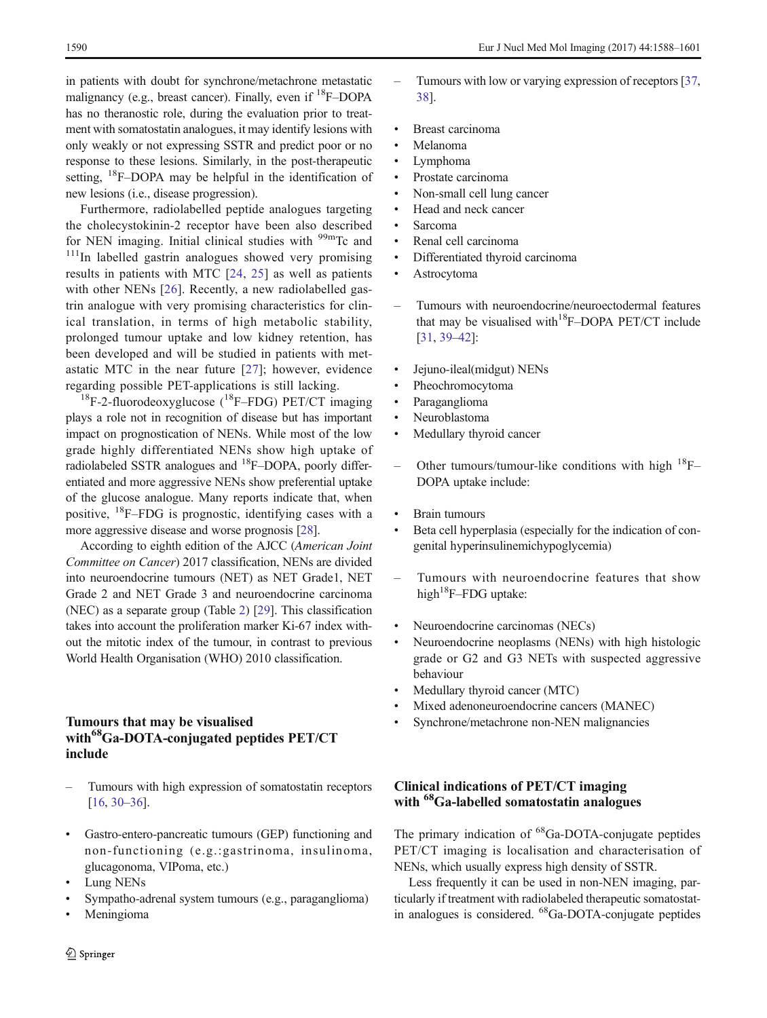in patients with doubt for synchrone/metachrone metastatic malignancy (e.g., breast cancer). Finally, even if <sup>18</sup>F–DOPA has no theranostic role, during the evaluation prior to treatment with somatostatin analogues, it may identify lesions with only weakly or not expressing SSTR and predict poor or no response to these lesions. Similarly, in the post-therapeutic setting,  $^{18}$ F–DOPA may be helpful in the identification of new lesions (i.e., disease progression).

Furthermore, radiolabelled peptide analogues targeting the cholecystokinin-2 receptor have been also described for NEN imaging. Initial clinical studies with  $\frac{99 \text{ m}}{\text{Tc}}$  and  $\frac{111}{\text{m}}$  labelled gastrin analogues showed very promising results in patients with MTC [[24,](#page-11-0) [25](#page-11-0)] as well as patients with other NENs [[26\]](#page-11-0). Recently, a new radiolabelled gastrin analogue with very promising characteristics for clinical translation, in terms of high metabolic stability, prolonged tumour uptake and low kidney retention, has been developed and will be studied in patients with metastatic MTC in the near future [[27\]](#page-11-0); however, evidence regarding possible PET-applications is still lacking.

 $^{18}$ F-2-fluorodeoxyglucose ( $^{18}$ F-FDG) PET/CT imaging plays a role not in recognition of disease but has important impact on prognostication of NENs. While most of the low grade highly differentiated NENs show high uptake of radiolabeled SSTR analogues and  $^{18}$ F–DOPA, poorly differentiated and more aggressive NENs show preferential uptake of the glucose analogue. Many reports indicate that, when positive, 18F–FDG is prognostic, identifying cases with a more aggressive disease and worse prognosis [[28](#page-11-0)].

According to eighth edition of the AJCC (American Joint Committee on Cancer) 2017 classification, NENs are divided into neuroendocrine tumours (NET) as NET Grade1, NET Grade 2 and NET Grade 3 and neuroendocrine carcinoma (NEC) as a separate group (Table [2\)](#page-3-0) [\[29\]](#page-11-0). This classification takes into account the proliferation marker Ki-67 index without the mitotic index of the tumour, in contrast to previous World Health Organisation (WHO) 2010 classification.

#### Tumours that may be visualised with<sup>68</sup>Ga-DOTA-conjugated peptides PET/CT include

- Tumours with high expression of somatostatin receptors [\[16](#page-11-0), [30](#page-11-0)–[36\]](#page-12-0).
- & Gastro-entero-pancreatic tumours (GEP) functioning and non-functioning (e.g.:gastrinoma, insulinoma, glucagonoma, VIPoma, etc.)
- Lung NENs
- & Sympatho-adrenal system tumours (e.g., paraganglioma)
- **Meningioma**
- Tumours with low or varying expression of receptors [[37,](#page-12-0) [38](#page-12-0)].
- & Breast carcinoma
- **Melanoma**
- Lymphoma
- Prostate carcinoma
- & Non-small cell lung cancer
- & Head and neck cancer
- Sarcoma
- & Renal cell carcinoma
- & Differentiated thyroid carcinoma
- Astrocytoma
- Tumours with neuroendocrine/neuroectodermal features that may be visualised with<sup>18</sup>F–DOPA PET/CT include [[31](#page-12-0), [39](#page-12-0)–[42\]](#page-12-0):
- & Jejuno-ileal(midgut) NENs
- & Pheochromocytoma
- Paraganglioma
- Neuroblastoma
- Medullary thyroid cancer
- Other tumours/tumour-like conditions with high 18F– DOPA uptake include:
- Brain tumours
- Beta cell hyperplasia (especially for the indication of congenital hyperinsulinemichypoglycemia)
- Tumours with neuroendocrine features that show high $18$ F–FDG uptake:
- & Neuroendocrine carcinomas (NECs)
- Neuroendocrine neoplasms (NENs) with high histologic grade or G2 and G3 NETs with suspected aggressive behaviour
- Medullary thyroid cancer (MTC)
- Mixed adenoneuroendocrine cancers (MANEC)
- & Synchrone/metachrone non-NEN malignancies

### Clinical indications of PET/CT imaging with <sup>68</sup>Ga-labelled somatostatin analogues

The primary indication of <sup>68</sup>Ga-DOTA-conjugate peptides PET/CT imaging is localisation and characterisation of NENs, which usually express high density of SSTR.

Less frequently it can be used in non-NEN imaging, particularly if treatment with radiolabeled therapeutic somatostatin analogues is considered. 68Ga-DOTA-conjugate peptides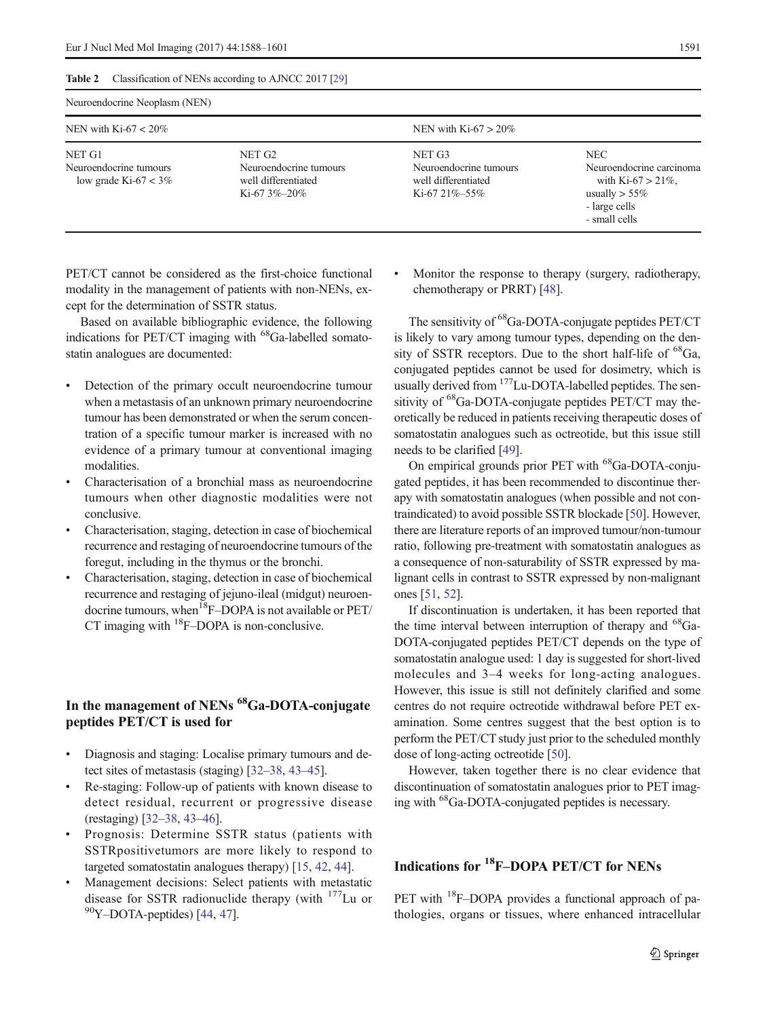#### <span id="page-3-0"></span>Table 2 Classification of NENs according to AJNCC 2017 [[29](#page-11-0)]

| Neuroendocrine Neoplasm (NEN)                              |                                                                             |                                                                            |                                                                                                                     |  |  |  |
|------------------------------------------------------------|-----------------------------------------------------------------------------|----------------------------------------------------------------------------|---------------------------------------------------------------------------------------------------------------------|--|--|--|
| NEN with Ki-67 $< 20\%$                                    |                                                                             | NEN with Ki-67 $> 20\%$                                                    |                                                                                                                     |  |  |  |
| NET G1<br>Neuroendocrine tumours<br>low grade Ki-67 $<$ 3% | NET G2<br>Neuroendocrine tumours<br>well differentiated<br>Ki-67 $3\%$ -20% | NET G3<br>Neuroendocrine tumours<br>well differentiated<br>Ki-67 21\%-55\% | <b>NEC</b><br>Neuroendocrine carcinoma<br>with Ki-67 $>$ 21%,<br>usually $> 55\%$<br>- large cells<br>- small cells |  |  |  |

PET/CT cannot be considered as the first-choice functional modality in the management of patients with non-NENs, except for the determination of SSTR status.

Based on available bibliographic evidence, the following indications for PET/CT imaging with  $^{68}$ Ga-labelled somatostatin analogues are documented:

- Detection of the primary occult neuroendocrine tumour when a metastasis of an unknown primary neuroendocrine tumour has been demonstrated or when the serum concentration of a specific tumour marker is increased with no evidence of a primary tumour at conventional imaging modalities.
- Characterisation of a bronchial mass as neuroendocrine tumours when other diagnostic modalities were not conclusive.
- & Characterisation, staging, detection in case of biochemical recurrence and restaging of neuroendocrine tumours of the foregut, including in the thymus or the bronchi.
- & Characterisation, staging, detection in case of biochemical recurrence and restaging of jejuno-ileal (midgut) neuroendocrine tumours, when<sup>18</sup>F–DOPA is not available or  $PET/$ CT imaging with <sup>18</sup>F–DOPA is non-conclusive.

### In the management of NENs<sup>68</sup>Ga-DOTA-conjugate peptides PET/CT is used for

- & Diagnosis and staging: Localise primary tumours and detect sites of metastasis (staging) [[32](#page-12-0)–[38](#page-12-0), [43](#page-12-0)–[45\]](#page-12-0).
- Re-staging: Follow-up of patients with known disease to detect residual, recurrent or progressive disease (restaging) [\[32](#page-12-0)–[38,](#page-12-0) [43](#page-12-0)–[46](#page-12-0)].
- & Prognosis: Determine SSTR status (patients with SSTRpositivetumors are more likely to respond to targeted somatostatin analogues therapy) [\[15,](#page-11-0) [42,](#page-12-0) [44\]](#page-12-0).
- Management decisions: Select patients with metastatic disease for SSTR radionuclide therapy (with  $177$ Lu or  $90$ Y-DOTA-peptides) [[44,](#page-12-0) [47](#page-12-0)].

Monitor the response to therapy (surgery, radiotherapy, chemotherapy or PRRT) [\[48\]](#page-12-0).

The sensitivity of <sup>68</sup>Ga-DOTA-conjugate peptides PET/CT is likely to vary among tumour types, depending on the density of SSTR receptors. Due to the short half-life of  ${}^{68}Ga$ , conjugated peptides cannot be used for dosimetry, which is usually derived from <sup>177</sup>Lu-DOTA-labelled peptides. The sensitivity of  ${}^{68}$ Ga-DOTA-conjugate peptides PET/CT may theoretically be reduced in patients receiving therapeutic doses of somatostatin analogues such as octreotide, but this issue still needs to be clarified [[49](#page-12-0)].

On empirical grounds prior PET with <sup>68</sup>Ga-DOTA-conjugated peptides, it has been recommended to discontinue therapy with somatostatin analogues (when possible and not contraindicated) to avoid possible SSTR blockade [\[50\]](#page-12-0). However, there are literature reports of an improved tumour/non-tumour ratio, following pre-treatment with somatostatin analogues as a consequence of non-saturability of SSTR expressed by malignant cells in contrast to SSTR expressed by non-malignant ones [[51,](#page-12-0) [52](#page-12-0)].

If discontinuation is undertaken, it has been reported that the time interval between interruption of therapy and <sup>68</sup>Ga-DOTA-conjugated peptides PET/CT depends on the type of somatostatin analogue used: 1 day is suggested for short-lived molecules and 3–4 weeks for long-acting analogues. However, this issue is still not definitely clarified and some centres do not require octreotide withdrawal before PET examination. Some centres suggest that the best option is to perform the PET/CT study just prior to the scheduled monthly dose of long-acting octreotide [\[50\]](#page-12-0).

However, taken together there is no clear evidence that discontinuation of somatostatin analogues prior to PET imaging with 68Ga-DOTA-conjugated peptides is necessary.

### Indications for 18F–DOPA PET/CT for NENs

PET with <sup>18</sup>F–DOPA provides a functional approach of pathologies, organs or tissues, where enhanced intracellular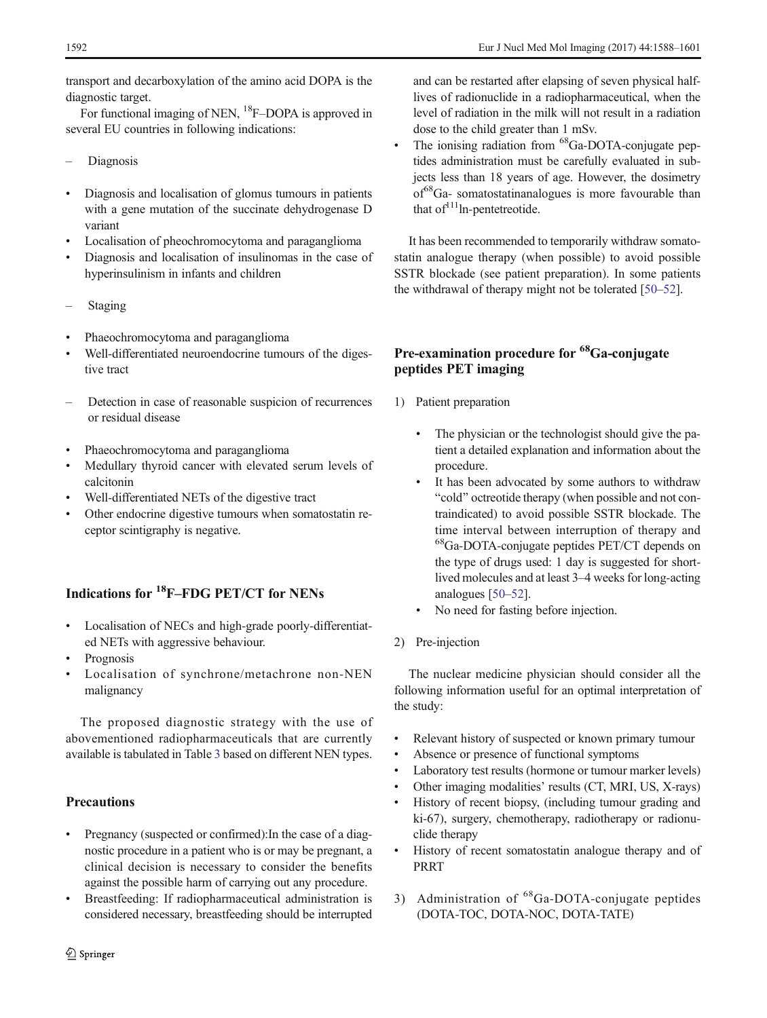transport and decarboxylation of the amino acid DOPA is the diagnostic target.

For functional imaging of NEN, <sup>18</sup>F–DOPA is approved in several EU countries in following indications:

- Diagnosis
- Diagnosis and localisation of glomus tumours in patients with a gene mutation of the succinate dehydrogenase D variant
- Localisation of pheochromocytoma and paraganglioma
- Diagnosis and localisation of insulinomas in the case of hyperinsulinism in infants and children
- **Staging**
- Phaeochromocytoma and paraganglioma
- Well-differentiated neuroendocrine tumours of the digestive tract
- Detection in case of reasonable suspicion of recurrences or residual disease
- Phaeochromocytoma and paraganglioma
- Medullary thyroid cancer with elevated serum levels of calcitonin
- Well-differentiated NETs of the digestive tract
- Other endocrine digestive tumours when somatostatin receptor scintigraphy is negative.

### Indications for 18F–FDG PET/CT for NENs

- & Localisation of NECs and high-grade poorly-differentiated NETs with aggressive behaviour.
- Prognosis
- Localisation of synchrone/metachrone non-NEN malignancy

The proposed diagnostic strategy with the use of abovementioned radiopharmaceuticals that are currently available is tabulated in Table [3](#page-5-0) based on different NEN types.

### **Precautions**

- & Pregnancy (suspected or confirmed):In the case of a diagnostic procedure in a patient who is or may be pregnant, a clinical decision is necessary to consider the benefits against the possible harm of carrying out any procedure.
- & Breastfeeding: If radiopharmaceutical administration is considered necessary, breastfeeding should be interrupted

and can be restarted after elapsing of seven physical halflives of radionuclide in a radiopharmaceutical, when the level of radiation in the milk will not result in a radiation dose to the child greater than 1 mSv.

The ionising radiation from  ${}^{68}Ga$ -DOTA-conjugate peptides administration must be carefully evaluated in subjects less than 18 years of age. However, the dosimetry of<sup>68</sup>Ga- somatostatinanalogues is more favourable than that  $of<sup>111</sup>$ ln-pentetreotide.

It has been recommended to temporarily withdraw somatostatin analogue therapy (when possible) to avoid possible SSTR blockade (see patient preparation). In some patients the withdrawal of therapy might not be tolerated [[50](#page-12-0)–[52](#page-12-0)].

# Pre-examination procedure for <sup>68</sup>Ga-conjugate peptides PET imaging

- 1) Patient preparation
	- The physician or the technologist should give the patient a detailed explanation and information about the procedure.
	- It has been advocated by some authors to withdraw "cold" octreotide therapy (when possible and not contraindicated) to avoid possible SSTR blockade. The time interval between interruption of therapy and 68Ga-DOTA-conjugate peptides PET/CT depends on the type of drugs used: 1 day is suggested for shortlived molecules and at least 3–4 weeks for long-acting analogues [\[50](#page-12-0)–[52\]](#page-12-0).
	- No need for fasting before injection.
- 2) Pre-injection

The nuclear medicine physician should consider all the following information useful for an optimal interpretation of the study:

- Relevant history of suspected or known primary tumour
- & Absence or presence of functional symptoms
- Laboratory test results (hormone or tumour marker levels)
- Other imaging modalities' results (CT, MRI, US, X-rays)
- & History of recent biopsy, (including tumour grading and ki-67), surgery, chemotherapy, radiotherapy or radionuclide therapy
- & History of recent somatostatin analogue therapy and of PRRT
- 3) Administration of <sup>68</sup>Ga-DOTA-conjugate peptides (DOTA-TOC, DOTA-NOC, DOTA-TATE)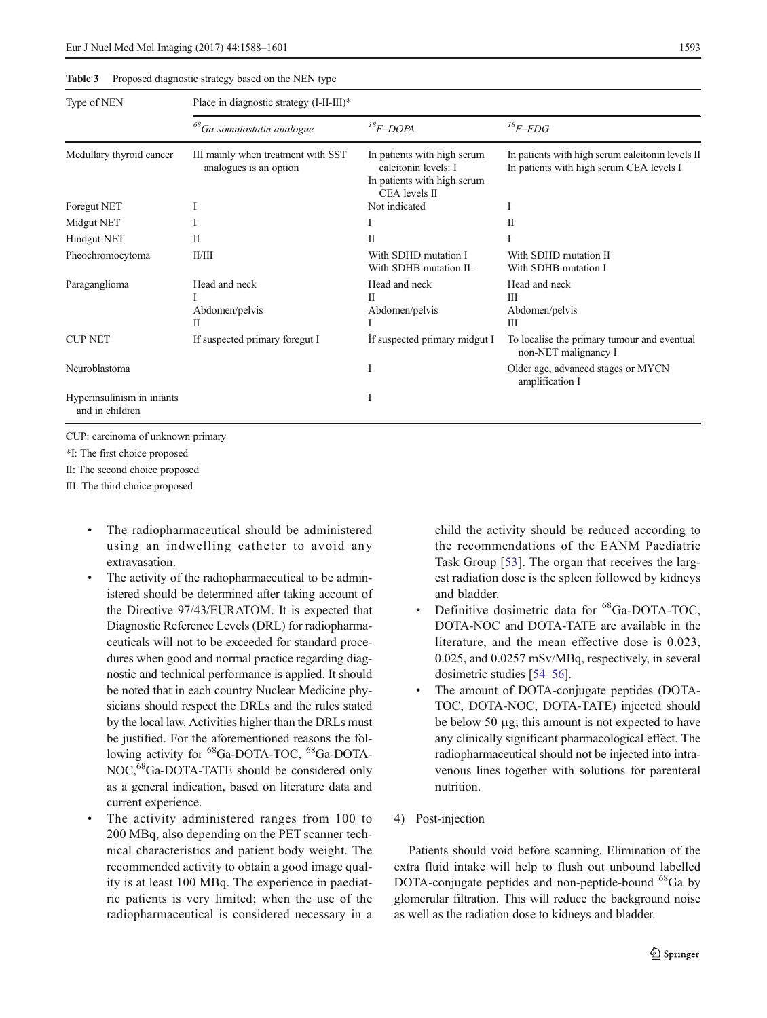<span id="page-5-0"></span>Eur J Nucl Med Mol Imaging (2017) 44:1588–1601 1593

Table 3 Proposed diagnostic strategy based on the NEN type

| Type of NEN                                   | Place in diagnostic strategy (I-II-III)*                     |                                                                                                     |                                                                                               |  |  |  |
|-----------------------------------------------|--------------------------------------------------------------|-----------------------------------------------------------------------------------------------------|-----------------------------------------------------------------------------------------------|--|--|--|
|                                               | $^{68}Ga$ -somatostatin analogue                             | $^{18}F$ -DOPA                                                                                      | ${}^{18}F$ -FDG                                                                               |  |  |  |
| Medullary thyroid cancer                      | III mainly when treatment with SST<br>analogues is an option | In patients with high serum<br>calcitonin levels: I<br>In patients with high serum<br>CEA levels II | In patients with high serum calciton in levels II<br>In patients with high serum CEA levels I |  |  |  |
| Foregut NET                                   |                                                              | Not indicated                                                                                       |                                                                                               |  |  |  |
| Midgut NET                                    |                                                              |                                                                                                     | H                                                                                             |  |  |  |
| Hindgut-NET                                   | П                                                            | П                                                                                                   |                                                                                               |  |  |  |
| Pheochromocytoma                              | II/III                                                       | With SDHD mutation I<br>With SDHB mutation II-                                                      | With SDHD mutation II<br>With SDHB mutation I                                                 |  |  |  |
| Paraganglioma                                 | Head and neck<br>Abdomen/pelvis<br>П                         | Head and neck<br>П<br>Abdomen/pelvis                                                                | Head and neck<br>Ш<br>Abdomen/pelvis<br>III                                                   |  |  |  |
| <b>CUP NET</b>                                | If suspected primary foregut I                               | If suspected primary midgut I                                                                       | To localise the primary tumour and eventual<br>non-NET malignancy I                           |  |  |  |
| Neuroblastoma                                 |                                                              |                                                                                                     | Older age, advanced stages or MYCN<br>amplification I                                         |  |  |  |
| Hyperinsulinism in infants<br>and in children |                                                              | Ι                                                                                                   |                                                                                               |  |  |  |

CUP: carcinoma of unknown primary

\*I: The first choice proposed

II: The second choice proposed

III: The third choice proposed

- & The radiopharmaceutical should be administered using an indwelling catheter to avoid any extravasation.
- The activity of the radiopharmaceutical to be administered should be determined after taking account of the Directive 97/43/EURATOM. It is expected that Diagnostic Reference Levels (DRL) for radiopharmaceuticals will not to be exceeded for standard procedures when good and normal practice regarding diagnostic and technical performance is applied. It should be noted that in each country Nuclear Medicine physicians should respect the DRLs and the rules stated by the local law. Activities higher than the DRLs must be justified. For the aforementioned reasons the following activity for <sup>68</sup>Ga-DOTA-TOC, <sup>68</sup>Ga-DOTA-NOC,<sup>68</sup>Ga-DOTA-TATE should be considered only as a general indication, based on literature data and current experience.
- The activity administered ranges from 100 to 200 MBq, also depending on the PET scanner technical characteristics and patient body weight. The recommended activity to obtain a good image quality is at least 100 MBq. The experience in paediatric patients is very limited; when the use of the radiopharmaceutical is considered necessary in a

child the activity should be reduced according to the recommendations of the EANM Paediatric Task Group [\[53](#page-12-0)]. The organ that receives the largest radiation dose is the spleen followed by kidneys and bladder.

- Definitive dosimetric data for <sup>68</sup>Ga-DOTA-TOC, DOTA-NOC and DOTA-TATE are available in the literature, and the mean effective dose is 0.023, 0.025, and 0.0257 mSv/MBq, respectively, in several dosimetric studies [[54](#page-12-0)–[56](#page-12-0)].
- The amount of DOTA-conjugate peptides (DOTA-TOC, DOTA-NOC, DOTA-TATE) injected should be below 50 μg; this amount is not expected to have any clinically significant pharmacological effect. The radiopharmaceutical should not be injected into intravenous lines together with solutions for parenteral nutrition.
- 4) Post-injection

Patients should void before scanning. Elimination of the extra fluid intake will help to flush out unbound labelled DOTA-conjugate peptides and non-peptide-bound <sup>68</sup>Ga by glomerular filtration. This will reduce the background noise as well as the radiation dose to kidneys and bladder.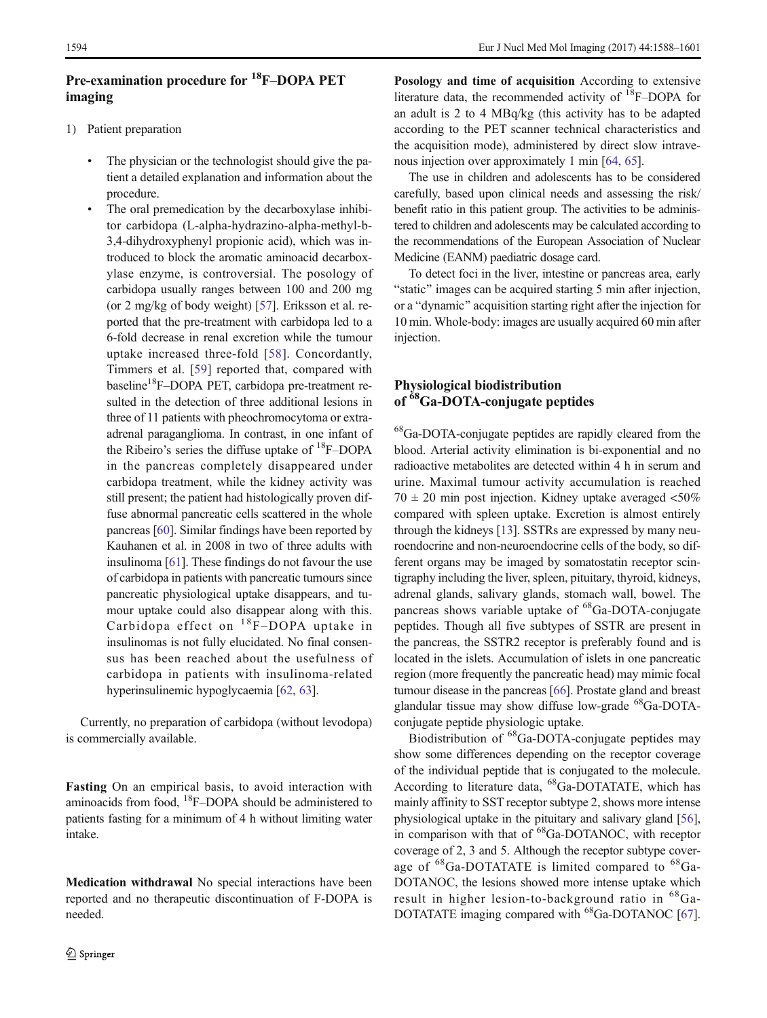### Pre-examination procedure for 18F–DOPA PET imaging

- 1) Patient preparation
	- The physician or the technologist should give the patient a detailed explanation and information about the procedure.
	- & The oral premedication by the decarboxylase inhibitor carbidopa (L-alpha-hydrazino-alpha-methyl-b-3,4-dihydroxyphenyl propionic acid), which was introduced to block the aromatic aminoacid decarboxylase enzyme, is controversial. The posology of carbidopa usually ranges between 100 and 200 mg (or 2 mg/kg of body weight) [\[57](#page-12-0)]. Eriksson et al. reported that the pre-treatment with carbidopa led to a 6-fold decrease in renal excretion while the tumour uptake increased three-fold [[58](#page-12-0)]. Concordantly, Timmers et al. [[59](#page-12-0)] reported that, compared with baseline<sup>18</sup>F-DOPA PET, carbidopa pre-treatment resulted in the detection of three additional lesions in three of 11 patients with pheochromocytoma or extraadrenal paraganglioma. In contrast, in one infant of the Ribeiro's series the diffuse uptake of  ${}^{18}$ F–DOPA in the pancreas completely disappeared under carbidopa treatment, while the kidney activity was still present; the patient had histologically proven diffuse abnormal pancreatic cells scattered in the whole pancreas [[60\]](#page-12-0). Similar findings have been reported by Kauhanen et al. in 2008 in two of three adults with insulinoma [\[61\]](#page-12-0). These findings do not favour the use of carbidopa in patients with pancreatic tumours since pancreatic physiological uptake disappears, and tumour uptake could also disappear along with this. Carbidopa effect on  $^{18}$ F-DOPA uptake in insulinomas is not fully elucidated. No final consensus has been reached about the usefulness of carbidopa in patients with insulinoma-related hyperinsulinemic hypoglycaemia [[62](#page-12-0), [63](#page-13-0)].

Currently, no preparation of carbidopa (without levodopa) is commercially available.

Fasting On an empirical basis, to avoid interaction with aminoacids from food,  ${}^{18}$ F–DOPA should be administered to patients fasting for a minimum of 4 h without limiting water intake.

Medication withdrawal No special interactions have been reported and no therapeutic discontinuation of F-DOPA is needed.

Posology and time of acquisition According to extensive literature data, the recommended activity of 18F–DOPA for an adult is 2 to 4 MBq/kg (this activity has to be adapted according to the PET scanner technical characteristics and the acquisition mode), administered by direct slow intravenous injection over approximately 1 min [\[64](#page-13-0), [65](#page-13-0)].

The use in children and adolescents has to be considered carefully, based upon clinical needs and assessing the risk/ benefit ratio in this patient group. The activities to be administered to children and adolescents may be calculated according to the recommendations of the European Association of Nuclear Medicine (EANM) paediatric dosage card.

To detect foci in the liver, intestine or pancreas area, early "static" images can be acquired starting 5 min after injection, or a "dynamic" acquisition starting right after the injection for 10 min. Whole-body: images are usually acquired 60 min after injection.

### Physiological biodistribution of <sup>68</sup>Ga-DOTA-conjugate peptides

68Ga-DOTA-conjugate peptides are rapidly cleared from the blood. Arterial activity elimination is bi-exponential and no radioactive metabolites are detected within 4 h in serum and urine. Maximal tumour activity accumulation is reached  $70 \pm 20$  min post injection. Kidney uptake averaged <50% compared with spleen uptake. Excretion is almost entirely through the kidneys [[13\]](#page-11-0). SSTRs are expressed by many neuroendocrine and non-neuroendocrine cells of the body, so different organs may be imaged by somatostatin receptor scintigraphy including the liver, spleen, pituitary, thyroid, kidneys, adrenal glands, salivary glands, stomach wall, bowel. The pancreas shows variable uptake of  ${}^{68}Ga$ -DOTA-conjugate peptides. Though all five subtypes of SSTR are present in the pancreas, the SSTR2 receptor is preferably found and is located in the islets. Accumulation of islets in one pancreatic region (more frequently the pancreatic head) may mimic focal tumour disease in the pancreas [[66\]](#page-13-0). Prostate gland and breast glandular tissue may show diffuse low-grade  $^{68}Ga$ -DOTAconjugate peptide physiologic uptake.

Biodistribution of 68Ga-DOTA-conjugate peptides may show some differences depending on the receptor coverage of the individual peptide that is conjugated to the molecule. According to literature data, <sup>68</sup>Ga-DOTATATE, which has mainly affinity to SST receptor subtype 2, shows more intense physiological uptake in the pituitary and salivary gland [[56\]](#page-12-0), in comparison with that of <sup>68</sup>Ga-DOTANOC, with receptor coverage of 2, 3 and 5. Although the receptor subtype coverage of  ${}^{68}Ga$ -DOTATATE is limited compared to  ${}^{68}Ga$ -DOTANOC, the lesions showed more intense uptake which result in higher lesion-to-background ratio in 68Ga-DOTATATE imaging compared with <sup>68</sup>Ga-DOTANOC [[67\]](#page-13-0).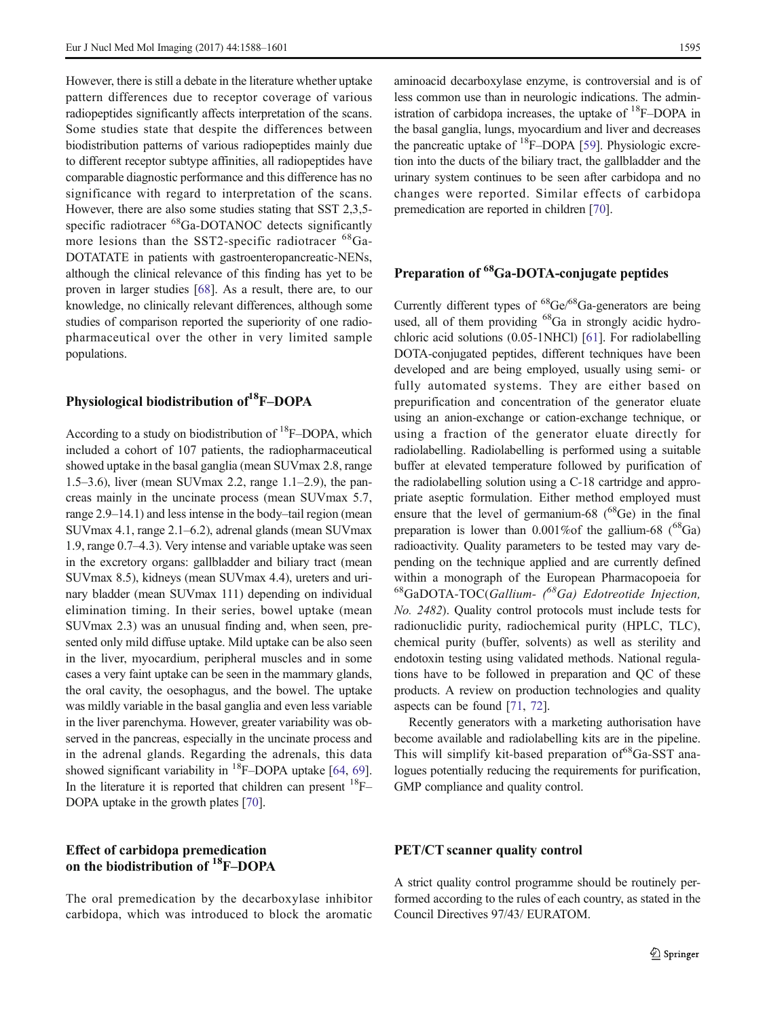However, there is still a debate in the literature whether uptake pattern differences due to receptor coverage of various radiopeptides significantly affects interpretation of the scans. Some studies state that despite the differences between biodistribution patterns of various radiopeptides mainly due to different receptor subtype affinities, all radiopeptides have comparable diagnostic performance and this difference has no significance with regard to interpretation of the scans. However, there are also some studies stating that SST 2,3,5 specific radiotracer <sup>68</sup>Ga-DOTANOC detects significantly more lesions than the SST2-specific radiotracer <sup>68</sup>Ga-DOTATATE in patients with gastroenteropancreatic-NENs, although the clinical relevance of this finding has yet to be proven in larger studies [[68\]](#page-13-0). As a result, there are, to our knowledge, no clinically relevant differences, although some studies of comparison reported the superiority of one radiopharmaceutical over the other in very limited sample populations.

### Physiological biodistribution of <sup>18</sup>F–DOPA

According to a study on biodistribution of <sup>18</sup>F-DOPA, which included a cohort of 107 patients, the radiopharmaceutical showed uptake in the basal ganglia (mean SUVmax 2.8, range 1.5–3.6), liver (mean SUVmax 2.2, range 1.1–2.9), the pancreas mainly in the uncinate process (mean SUVmax 5.7, range 2.9–14.1) and less intense in the body–tail region (mean SUVmax 4.1, range 2.1–6.2), adrenal glands (mean SUVmax 1.9, range 0.7–4.3). Very intense and variable uptake was seen in the excretory organs: gallbladder and biliary tract (mean SUVmax 8.5), kidneys (mean SUVmax 4.4), ureters and urinary bladder (mean SUVmax 111) depending on individual elimination timing. In their series, bowel uptake (mean SUVmax 2.3) was an unusual finding and, when seen, presented only mild diffuse uptake. Mild uptake can be also seen in the liver, myocardium, peripheral muscles and in some cases a very faint uptake can be seen in the mammary glands, the oral cavity, the oesophagus, and the bowel. The uptake was mildly variable in the basal ganglia and even less variable in the liver parenchyma. However, greater variability was observed in the pancreas, especially in the uncinate process and in the adrenal glands. Regarding the adrenals, this data showed significant variability in  $^{18}$ F–DOPA uptake [[64](#page-13-0), [69\]](#page-13-0). In the literature it is reported that children can present  $^{18}$ F– DOPA uptake in the growth plates [\[70\]](#page-13-0).

#### Effect of carbidopa premedication on the biodistribution of 18F–DOPA

The oral premedication by the decarboxylase inhibitor carbidopa, which was introduced to block the aromatic

aminoacid decarboxylase enzyme, is controversial and is of less common use than in neurologic indications. The administration of carbidopa increases, the uptake of  ${}^{18}$ F–DOPA in the basal ganglia, lungs, myocardium and liver and decreases the pancreatic uptake of  ${}^{18}$ F–DOPA [\[59\]](#page-12-0). Physiologic excretion into the ducts of the biliary tract, the gallbladder and the urinary system continues to be seen after carbidopa and no changes were reported. Similar effects of carbidopa premedication are reported in children [[70](#page-13-0)].

### Preparation of <sup>68</sup>Ga-DOTA-conjugate peptides

Currently different types of 68Ge/68Ga-generators are being used, all of them providing  $^{68}Ga$  in strongly acidic hydrochloric acid solutions (0.05-1NHCl) [\[61\]](#page-12-0). For radiolabelling DOTA-conjugated peptides, different techniques have been developed and are being employed, usually using semi- or fully automated systems. They are either based on prepurification and concentration of the generator eluate using an anion-exchange or cation-exchange technique, or using a fraction of the generator eluate directly for radiolabelling. Radiolabelling is performed using a suitable buffer at elevated temperature followed by purification of the radiolabelling solution using a C-18 cartridge and appropriate aseptic formulation. Either method employed must ensure that the level of germanium-68 ( $^{68}$ Ge) in the final preparation is lower than  $0.001\%$  of the gallium-68 (<sup>68</sup>Ga) radioactivity. Quality parameters to be tested may vary depending on the technique applied and are currently defined within a monograph of the European Pharmacopoeia for  $^{68}$ GaDOTA-TOC(Gallium- $^{68}$ Ga) Edotreotide Injection, No. 2482). Quality control protocols must include tests for radionuclidic purity, radiochemical purity (HPLC, TLC), chemical purity (buffer, solvents) as well as sterility and endotoxin testing using validated methods. National regulations have to be followed in preparation and QC of these products. A review on production technologies and quality aspects can be found [\[71](#page-13-0), [72\]](#page-13-0).

Recently generators with a marketing authorisation have become available and radiolabelling kits are in the pipeline. This will simplify kit-based preparation of <sup>68</sup>Ga-SST analogues potentially reducing the requirements for purification, GMP compliance and quality control.

#### PET/CT scanner quality control

A strict quality control programme should be routinely performed according to the rules of each country, as stated in the Council Directives 97/43/ EURATOM.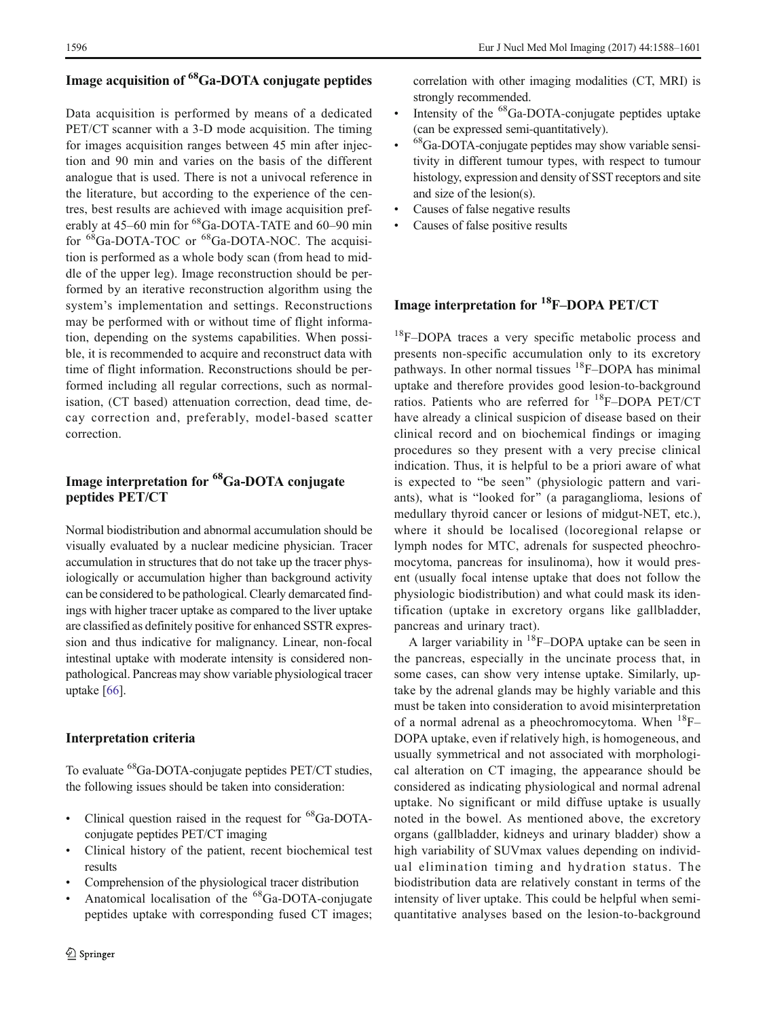### Image acquisition of 68Ga-DOTA conjugate peptides

Data acquisition is performed by means of a dedicated PET/CT scanner with a 3-D mode acquisition. The timing for images acquisition ranges between 45 min after injection and 90 min and varies on the basis of the different analogue that is used. There is not a univocal reference in the literature, but according to the experience of the centres, best results are achieved with image acquisition preferably at 45–60 min for <sup>68</sup>Ga-DOTA-TATE and 60–90 min for <sup>68</sup>Ga-DOTA-TOC or <sup>68</sup>Ga-DOTA-NOC. The acquisition is performed as a whole body scan (from head to middle of the upper leg). Image reconstruction should be performed by an iterative reconstruction algorithm using the system's implementation and settings. Reconstructions may be performed with or without time of flight information, depending on the systems capabilities. When possible, it is recommended to acquire and reconstruct data with time of flight information. Reconstructions should be performed including all regular corrections, such as normalisation, (CT based) attenuation correction, dead time, decay correction and, preferably, model-based scatter correction.

### Image interpretation for 68Ga-DOTA conjugate peptides PET/CT

Normal biodistribution and abnormal accumulation should be visually evaluated by a nuclear medicine physician. Tracer accumulation in structures that do not take up the tracer physiologically or accumulation higher than background activity can be considered to be pathological. Clearly demarcated findings with higher tracer uptake as compared to the liver uptake are classified as definitely positive for enhanced SSTR expression and thus indicative for malignancy. Linear, non-focal intestinal uptake with moderate intensity is considered nonpathological. Pancreas may show variable physiological tracer uptake [[66](#page-13-0)].

#### Interpretation criteria

To evaluate 68Ga-DOTA-conjugate peptides PET/CT studies, the following issues should be taken into consideration:

- Clinical question raised in the request for <sup>68</sup>Ga-DOTAconjugate peptides PET/CT imaging
- & Clinical history of the patient, recent biochemical test results
- Comprehension of the physiological tracer distribution
- Anatomical localisation of the <sup>68</sup>Ga-DOTA-conjugate peptides uptake with corresponding fused CT images;

correlation with other imaging modalities (CT, MRI) is strongly recommended.

- $\cdot$  Intensity of the <sup>68</sup>Ga-DOTA-conjugate peptides uptake (can be expressed semi-quantitatively).
- ${}^{68}$ Ga-DOTA-conjugate peptides may show variable sensitivity in different tumour types, with respect to tumour histology, expression and density of SST receptors and site and size of the lesion(s).
- Causes of false negative results
- Causes of false positive results

### Image interpretation for 18F–DOPA PET/CT

<sup>18</sup>F-DOPA traces a very specific metabolic process and presents non-specific accumulation only to its excretory pathways. In other normal tissues  ${}^{18}F$ –DOPA has minimal uptake and therefore provides good lesion-to-background ratios. Patients who are referred for 18F–DOPA PET/CT have already a clinical suspicion of disease based on their clinical record and on biochemical findings or imaging procedures so they present with a very precise clinical indication. Thus, it is helpful to be a priori aware of what is expected to "be seen" (physiologic pattern and variants), what is "looked for" (a paraganglioma, lesions of medullary thyroid cancer or lesions of midgut-NET, etc.), where it should be localised (locoregional relapse or lymph nodes for MTC, adrenals for suspected pheochromocytoma, pancreas for insulinoma), how it would present (usually focal intense uptake that does not follow the physiologic biodistribution) and what could mask its identification (uptake in excretory organs like gallbladder, pancreas and urinary tract).

A larger variability in  ${}^{18}$ F–DOPA uptake can be seen in the pancreas, especially in the uncinate process that, in some cases, can show very intense uptake. Similarly, uptake by the adrenal glands may be highly variable and this must be taken into consideration to avoid misinterpretation of a normal adrenal as a pheochromocytoma. When  $^{18}F-$ DOPA uptake, even if relatively high, is homogeneous, and usually symmetrical and not associated with morphological alteration on CT imaging, the appearance should be considered as indicating physiological and normal adrenal uptake. No significant or mild diffuse uptake is usually noted in the bowel. As mentioned above, the excretory organs (gallbladder, kidneys and urinary bladder) show a high variability of SUVmax values depending on individual elimination timing and hydration status. The biodistribution data are relatively constant in terms of the intensity of liver uptake. This could be helpful when semiquantitative analyses based on the lesion-to-background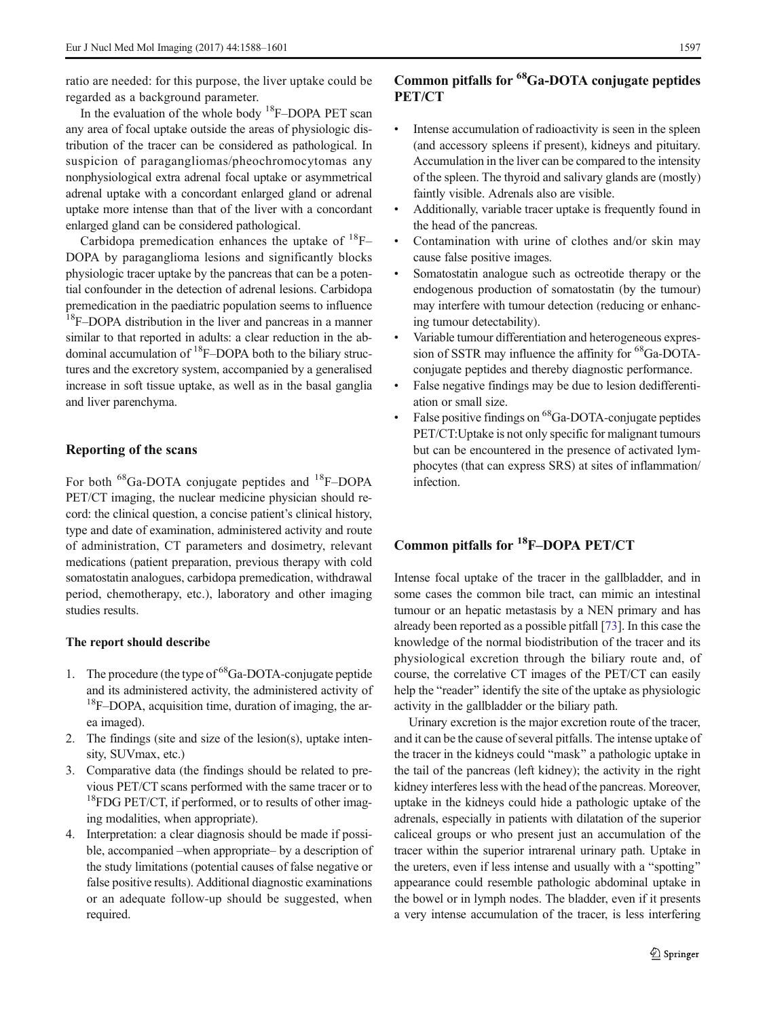ratio are needed: for this purpose, the liver uptake could be regarded as a background parameter.

In the evaluation of the whole body  ${}^{18}$ F–DOPA PET scan any area of focal uptake outside the areas of physiologic distribution of the tracer can be considered as pathological. In suspicion of paragangliomas/pheochromocytomas any nonphysiological extra adrenal focal uptake or asymmetrical adrenal uptake with a concordant enlarged gland or adrenal uptake more intense than that of the liver with a concordant enlarged gland can be considered pathological.

Carbidopa premedication enhances the uptake of  $^{18}$ F-DOPA by paraganglioma lesions and significantly blocks physiologic tracer uptake by the pancreas that can be a potential confounder in the detection of adrenal lesions. Carbidopa premedication in the paediatric population seems to influence <sup>18</sup>F–DOPA distribution in the liver and pancreas in a manner similar to that reported in adults: a clear reduction in the abdominal accumulation of  ${}^{18}$ F–DOPA both to the biliary structures and the excretory system, accompanied by a generalised increase in soft tissue uptake, as well as in the basal ganglia and liver parenchyma.

#### Reporting of the scans

For both <sup>68</sup>Ga-DOTA conjugate peptides and <sup>18</sup>F–DOPA PET/CT imaging, the nuclear medicine physician should record: the clinical question, a concise patient's clinical history, type and date of examination, administered activity and route of administration, CT parameters and dosimetry, relevant medications (patient preparation, previous therapy with cold somatostatin analogues, carbidopa premedication, withdrawal period, chemotherapy, etc.), laboratory and other imaging studies results.

#### The report should describe

- 1. The procedure (the type of <sup>68</sup>Ga-DOTA-conjugate peptide and its administered activity, the administered activity of <sup>18</sup>F–DOPA, acquisition time, duration of imaging, the area imaged).
- 2. The findings (site and size of the lesion(s), uptake intensity, SUVmax, etc.)
- 3. Comparative data (the findings should be related to previous PET/CT scans performed with the same tracer or to <sup>18</sup>FDG PET/CT, if performed, or to results of other imaging modalities, when appropriate).
- 4. Interpretation: a clear diagnosis should be made if possible, accompanied –when appropriate– by a description of the study limitations (potential causes of false negative or false positive results). Additional diagnostic examinations or an adequate follow-up should be suggested, when required.

### Common pitfalls for 68Ga-DOTA conjugate peptides PET/CT

- & Intense accumulation of radioactivity is seen in the spleen (and accessory spleens if present), kidneys and pituitary. Accumulation in the liver can be compared to the intensity of the spleen. The thyroid and salivary glands are (mostly) faintly visible. Adrenals also are visible.
- & Additionally, variable tracer uptake is frequently found in the head of the pancreas.
- Contamination with urine of clothes and/or skin may cause false positive images.
- Somatostatin analogue such as octreotide therapy or the endogenous production of somatostatin (by the tumour) may interfere with tumour detection (reducing or enhancing tumour detectability).
- Variable tumour differentiation and heterogeneous expression of SSTR may influence the affinity for <sup>68</sup>Ga-DOTAconjugate peptides and thereby diagnostic performance.
- False negative findings may be due to lesion dedifferentiation or small size.
- False positive findings on <sup>68</sup>Ga-DOTA-conjugate peptides PET/CT:Uptake is not only specific for malignant tumours but can be encountered in the presence of activated lymphocytes (that can express SRS) at sites of inflammation/ infection.

## Common pitfalls for 18F–DOPA PET/CT

Intense focal uptake of the tracer in the gallbladder, and in some cases the common bile tract, can mimic an intestinal tumour or an hepatic metastasis by a NEN primary and has already been reported as a possible pitfall [\[73\]](#page-13-0). In this case the knowledge of the normal biodistribution of the tracer and its physiological excretion through the biliary route and, of course, the correlative CT images of the PET/CT can easily help the "reader" identify the site of the uptake as physiologic activity in the gallbladder or the biliary path.

Urinary excretion is the major excretion route of the tracer, and it can be the cause of several pitfalls. The intense uptake of the tracer in the kidneys could "mask" a pathologic uptake in the tail of the pancreas (left kidney); the activity in the right kidney interferes less with the head of the pancreas. Moreover, uptake in the kidneys could hide a pathologic uptake of the adrenals, especially in patients with dilatation of the superior caliceal groups or who present just an accumulation of the tracer within the superior intrarenal urinary path. Uptake in the ureters, even if less intense and usually with a "spotting" appearance could resemble pathologic abdominal uptake in the bowel or in lymph nodes. The bladder, even if it presents a very intense accumulation of the tracer, is less interfering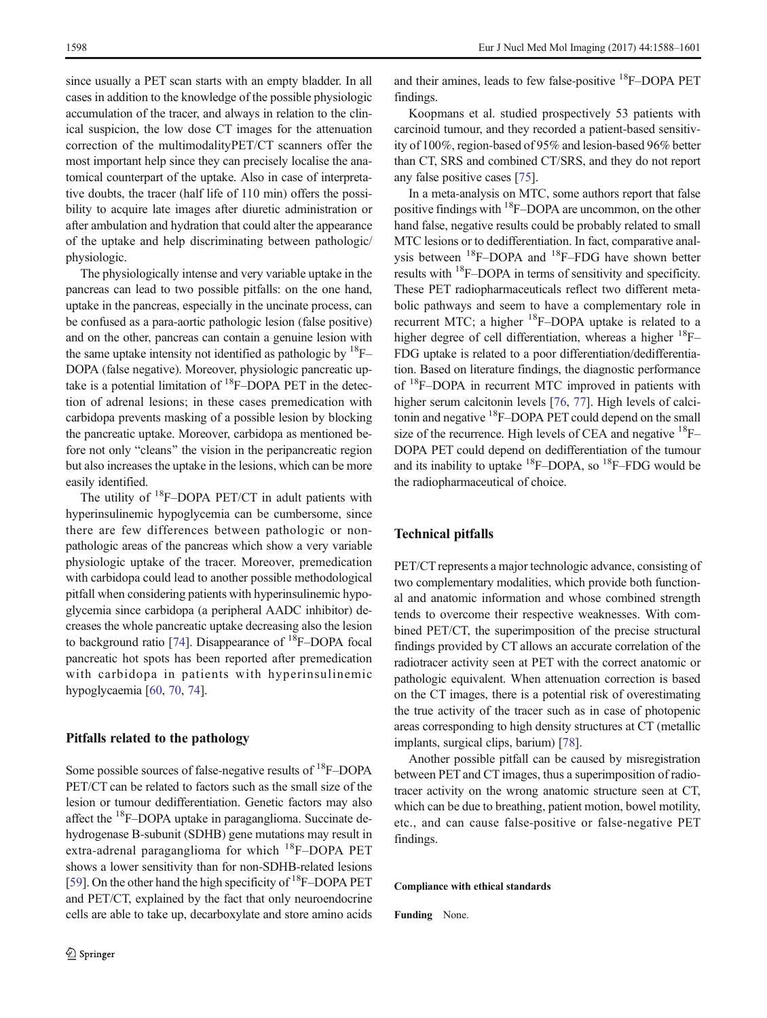since usually a PET scan starts with an empty bladder. In all cases in addition to the knowledge of the possible physiologic accumulation of the tracer, and always in relation to the clinical suspicion, the low dose CT images for the attenuation correction of the multimodalityPET/CT scanners offer the most important help since they can precisely localise the anatomical counterpart of the uptake. Also in case of interpretative doubts, the tracer (half life of 110 min) offers the possibility to acquire late images after diuretic administration or after ambulation and hydration that could alter the appearance of the uptake and help discriminating between pathologic/ physiologic.

The physiologically intense and very variable uptake in the pancreas can lead to two possible pitfalls: on the one hand, uptake in the pancreas, especially in the uncinate process, can be confused as a para-aortic pathologic lesion (false positive) and on the other, pancreas can contain a genuine lesion with the same uptake intensity not identified as pathologic by  ${}^{18}F-$ DOPA (false negative). Moreover, physiologic pancreatic uptake is a potential limitation of  ${}^{18}$ F–DOPA PET in the detection of adrenal lesions; in these cases premedication with carbidopa prevents masking of a possible lesion by blocking the pancreatic uptake. Moreover, carbidopa as mentioned before not only "cleans" the vision in the peripancreatic region but also increases the uptake in the lesions, which can be more easily identified.

The utility of  $^{18}$ F–DOPA PET/CT in adult patients with hyperinsulinemic hypoglycemia can be cumbersome, since there are few differences between pathologic or nonpathologic areas of the pancreas which show a very variable physiologic uptake of the tracer. Moreover, premedication with carbidopa could lead to another possible methodological pitfall when considering patients with hyperinsulinemic hypoglycemia since carbidopa (a peripheral AADC inhibitor) decreases the whole pancreatic uptake decreasing also the lesion to background ratio [\[74\]](#page-13-0). Disappearance of  $^{18}$ F–DOPA focal pancreatic hot spots has been reported after premedication with carbidopa in patients with hyperinsulinemic hypoglycaemia [\[60,](#page-12-0) [70,](#page-13-0) [74\]](#page-13-0).

#### Pitfalls related to the pathology

Some possible sources of false-negative results of 18F–DOPA PET/CT can be related to factors such as the small size of the lesion or tumour dedifferentiation. Genetic factors may also affect the 18F–DOPA uptake in paraganglioma. Succinate dehydrogenase B-subunit (SDHB) gene mutations may result in extra-adrenal paraganglioma for which  $^{18}$ F–DOPA PET shows a lower sensitivity than for non-SDHB-related lesions [\[59\]](#page-12-0). On the other hand the high specificity of  ${}^{18}F$ –DOPA PET and PET/CT, explained by the fact that only neuroendocrine cells are able to take up, decarboxylate and store amino acids and their amines, leads to few false-positive  $^{18}$ F–DOPA PET findings.

Koopmans et al. studied prospectively 53 patients with carcinoid tumour, and they recorded a patient-based sensitivity of 100%, region-based of 95% and lesion-based 96% better than CT, SRS and combined CT/SRS, and they do not report any false positive cases [[75\]](#page-13-0).

In a meta-analysis on MTC, some authors report that false positive findings with 18F–DOPA are uncommon, on the other hand false, negative results could be probably related to small MTC lesions or to dedifferentiation. In fact, comparative analysis between <sup>18</sup>F–DOPA and <sup>18</sup>F–FDG have shown better results with 18F–DOPA in terms of sensitivity and specificity. These PET radiopharmaceuticals reflect two different metabolic pathways and seem to have a complementary role in recurrent MTC; a higher  $^{18}$ F–DOPA uptake is related to a higher degree of cell differentiation, whereas a higher  $^{18}$ F-FDG uptake is related to a poor differentiation/dedifferentiation. Based on literature findings, the diagnostic performance of 18F–DOPA in recurrent MTC improved in patients with higher serum calcitonin levels [\[76,](#page-13-0) [77](#page-13-0)]. High levels of calcitonin and negative  ${}^{18}$ F–DOPA PET could depend on the small size of the recurrence. High levels of CEA and negative <sup>18</sup>F-DOPA PET could depend on dedifferentiation of the tumour and its inability to uptake  ${}^{18}$ F–DOPA, so  ${}^{18}$ F–FDG would be the radiopharmaceutical of choice.

#### Technical pitfalls

PET/CT represents a major technologic advance, consisting of two complementary modalities, which provide both functional and anatomic information and whose combined strength tends to overcome their respective weaknesses. With combined PET/CT, the superimposition of the precise structural findings provided by CT allows an accurate correlation of the radiotracer activity seen at PET with the correct anatomic or pathologic equivalent. When attenuation correction is based on the CT images, there is a potential risk of overestimating the true activity of the tracer such as in case of photopenic areas corresponding to high density structures at CT (metallic implants, surgical clips, barium) [\[78\]](#page-13-0).

Another possible pitfall can be caused by misregistration between PET and CT images, thus a superimposition of radiotracer activity on the wrong anatomic structure seen at CT, which can be due to breathing, patient motion, bowel motility, etc., and can cause false-positive or false-negative PET findings.

#### Compliance with ethical standards

Funding None.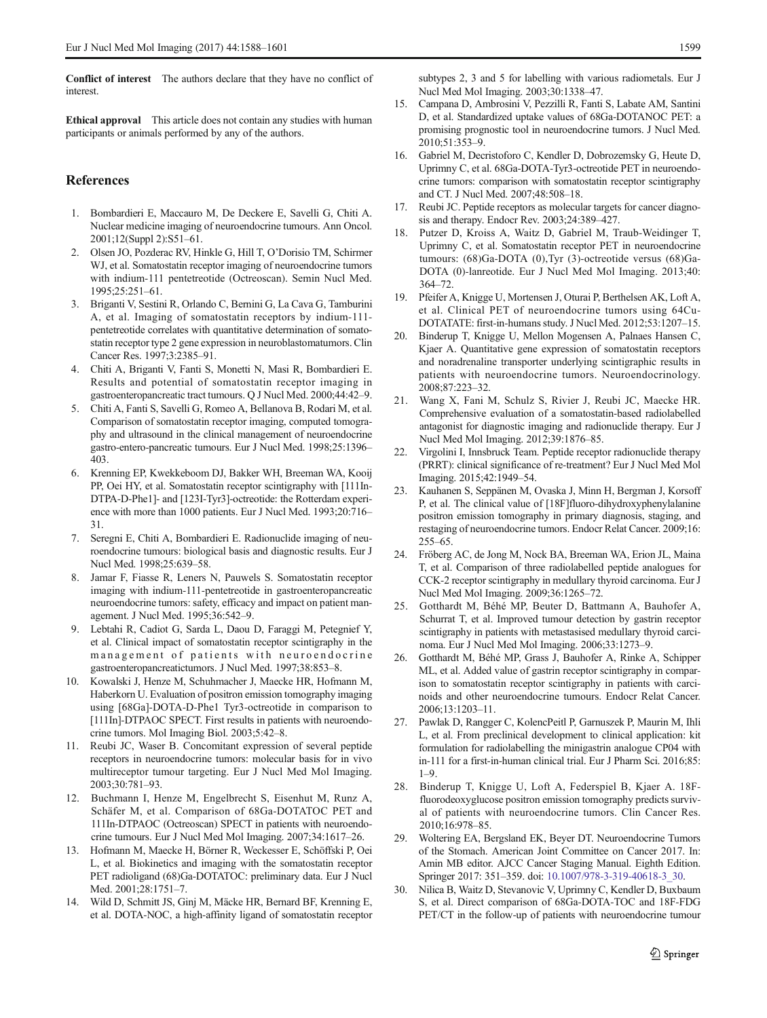<span id="page-11-0"></span>Conflict of interest The authors declare that they have no conflict of interest.

Ethical approval This article does not contain any studies with human participants or animals performed by any of the authors.

#### **References**

- 1. Bombardieri E, Maccauro M, De Deckere E, Savelli G, Chiti A. Nuclear medicine imaging of neuroendocrine tumours. Ann Oncol. 2001;12(Suppl 2):S51–61.
- 2. Olsen JO, Pozderac RV, Hinkle G, Hill T, O'Dorisio TM, Schirmer WJ, et al. Somatostatin receptor imaging of neuroendocrine tumors with indium-111 pentetreotide (Octreoscan). Semin Nucl Med. 1995;25:251–61.
- 3. Briganti V, Sestini R, Orlando C, Bernini G, La Cava G, Tamburini A, et al. Imaging of somatostatin receptors by indium-111 pentetreotide correlates with quantitative determination of somatostatin receptor type 2 gene expression in neuroblastomatumors. Clin Cancer Res. 1997;3:2385–91.
- 4. Chiti A, Briganti V, Fanti S, Monetti N, Masi R, Bombardieri E. Results and potential of somatostatin receptor imaging in gastroenteropancreatic tract tumours. Q J Nucl Med. 2000;44:42–9.
- 5. Chiti A, Fanti S, Savelli G, Romeo A, Bellanova B, Rodari M, et al. Comparison of somatostatin receptor imaging, computed tomography and ultrasound in the clinical management of neuroendocrine gastro-entero-pancreatic tumours. Eur J Nucl Med. 1998;25:1396– 403.
- 6. Krenning EP, Kwekkeboom DJ, Bakker WH, Breeman WA, Kooij PP, Oei HY, et al. Somatostatin receptor scintigraphy with [111In-DTPA-D-Phe1]- and [123I-Tyr3]-octreotide: the Rotterdam experience with more than 1000 patients. Eur J Nucl Med. 1993;20:716– 31.
- 7. Seregni E, Chiti A, Bombardieri E. Radionuclide imaging of neuroendocrine tumours: biological basis and diagnostic results. Eur J Nucl Med. 1998;25:639–58.
- 8. Jamar F, Fiasse R, Leners N, Pauwels S. Somatostatin receptor imaging with indium-111-pentetreotide in gastroenteropancreatic neuroendocrine tumors: safety, efficacy and impact on patient management. J Nucl Med. 1995;36:542–9.
- 9. Lebtahi R, Cadiot G, Sarda L, Daou D, Faraggi M, Petegnief Y, et al. Clinical impact of somatostatin receptor scintigraphy in the management of patients with neuroendocrine gastroenteropancreatictumors. J Nucl Med. 1997;38:853–8.
- 10. Kowalski J, Henze M, Schuhmacher J, Maecke HR, Hofmann M, Haberkorn U. Evaluation of positron emission tomography imaging using [68Ga]-DOTA-D-Phe1 Tyr3-octreotide in comparison to [111In]-DTPAOC SPECT. First results in patients with neuroendocrine tumors. Mol Imaging Biol. 2003;5:42–8.
- 11. Reubi JC, Waser B. Concomitant expression of several peptide receptors in neuroendocrine tumors: molecular basis for in vivo multireceptor tumour targeting. Eur J Nucl Med Mol Imaging. 2003;30:781–93.
- 12. Buchmann I, Henze M, Engelbrecht S, Eisenhut M, Runz A, Schäfer M, et al. Comparison of 68Ga-DOTATOC PET and 111In-DTPAOC (Octreoscan) SPECT in patients with neuroendocrine tumours. Eur J Nucl Med Mol Imaging. 2007;34:1617–26.
- 13. Hofmann M, Maecke H, Börner R, Weckesser E, Schöffski P, Oei L, et al. Biokinetics and imaging with the somatostatin receptor PET radioligand (68)Ga-DOTATOC: preliminary data. Eur J Nucl Med. 2001;28:1751–7.
- 14. Wild D, Schmitt JS, Ginj M, Mäcke HR, Bernard BF, Krenning E, et al. DOTA-NOC, a high-affinity ligand of somatostatin receptor

subtypes 2, 3 and 5 for labelling with various radiometals. Eur J Nucl Med Mol Imaging. 2003;30:1338–47.

- 15. Campana D, Ambrosini V, Pezzilli R, Fanti S, Labate AM, Santini D, et al. Standardized uptake values of 68Ga-DOTANOC PET: a promising prognostic tool in neuroendocrine tumors. J Nucl Med. 2010;51:353–9.
- 16. Gabriel M, Decristoforo C, Kendler D, Dobrozemsky G, Heute D, Uprimny C, et al. 68Ga-DOTA-Tyr3-octreotide PET in neuroendocrine tumors: comparison with somatostatin receptor scintigraphy and CT. J Nucl Med. 2007;48:508–18.
- 17. Reubi JC. Peptide receptors as molecular targets for cancer diagnosis and therapy. Endocr Rev. 2003;24:389–427.
- 18. Putzer D, Kroiss A, Waitz D, Gabriel M, Traub-Weidinger T, Uprimny C, et al. Somatostatin receptor PET in neuroendocrine tumours: (68)Ga-DOTA (0),Tyr (3)-octreotide versus (68)Ga-DOTA (0)-lanreotide. Eur J Nucl Med Mol Imaging. 2013;40: 364–72.
- 19. Pfeifer A, Knigge U, Mortensen J, Oturai P, Berthelsen AK, Loft A, et al. Clinical PET of neuroendocrine tumors using 64Cu-DOTATATE: first-in-humans study. J Nucl Med. 2012;53:1207–15.
- Binderup T, Knigge U, Mellon Mogensen A, Palnaes Hansen C, Kjaer A. Quantitative gene expression of somatostatin receptors and noradrenaline transporter underlying scintigraphic results in patients with neuroendocrine tumors. Neuroendocrinology. 2008;87:223–32.
- 21. Wang X, Fani M, Schulz S, Rivier J, Reubi JC, Maecke HR. Comprehensive evaluation of a somatostatin-based radiolabelled antagonist for diagnostic imaging and radionuclide therapy. Eur J Nucl Med Mol Imaging. 2012;39:1876–85.
- 22. Virgolini I, Innsbruck Team. Peptide receptor radionuclide therapy (PRRT): clinical significance of re-treatment? Eur J Nucl Med Mol Imaging. 2015;42:1949–54.
- 23. Kauhanen S, Seppänen M, Ovaska J, Minn H, Bergman J, Korsoff P, et al. The clinical value of [18F]fluoro-dihydroxyphenylalanine positron emission tomography in primary diagnosis, staging, and restaging of neuroendocrine tumors. Endocr Relat Cancer. 2009;16: 255–65.
- 24. Fröberg AC, de Jong M, Nock BA, Breeman WA, Erion JL, Maina T, et al. Comparison of three radiolabelled peptide analogues for CCK-2 receptor scintigraphy in medullary thyroid carcinoma. Eur J Nucl Med Mol Imaging. 2009;36:1265–72.
- 25. Gotthardt M, Béhé MP, Beuter D, Battmann A, Bauhofer A, Schurrat T, et al. Improved tumour detection by gastrin receptor scintigraphy in patients with metastasised medullary thyroid carcinoma. Eur J Nucl Med Mol Imaging. 2006;33:1273–9.
- 26. Gotthardt M, Béhé MP, Grass J, Bauhofer A, Rinke A, Schipper ML, et al. Added value of gastrin receptor scintigraphy in comparison to somatostatin receptor scintigraphy in patients with carcinoids and other neuroendocrine tumours. Endocr Relat Cancer. 2006;13:1203–11.
- 27. Pawlak D, Rangger C, KolencPeitl P, Garnuszek P, Maurin M, Ihli L, et al. From preclinical development to clinical application: kit formulation for radiolabelling the minigastrin analogue CP04 with in-111 for a first-in-human clinical trial. Eur J Pharm Sci. 2016;85:  $1-9.$
- 28. Binderup T, Knigge U, Loft A, Federspiel B, Kjaer A. 18Ffluorodeoxyglucose positron emission tomography predicts survival of patients with neuroendocrine tumors. Clin Cancer Res. 2010;16:978–85.
- 29. Woltering EA, Bergsland EK, Beyer DT. Neuroendocrine Tumors of the Stomach. American Joint Committee on Cancer 2017. In: Amin MB editor. AJCC Cancer Staging Manual. Eighth Edition. Springer 2017: 351–359. doi: [10.1007/978-3-319-40618-3\\_30](http://dx.doi.org/10.1007/978-3-319-40618-3_30).
- 30. Nilica B, Waitz D, Stevanovic V, Uprimny C, Kendler D, Buxbaum S, et al. Direct comparison of 68Ga-DOTA-TOC and 18F-FDG PET/CT in the follow-up of patients with neuroendocrine tumour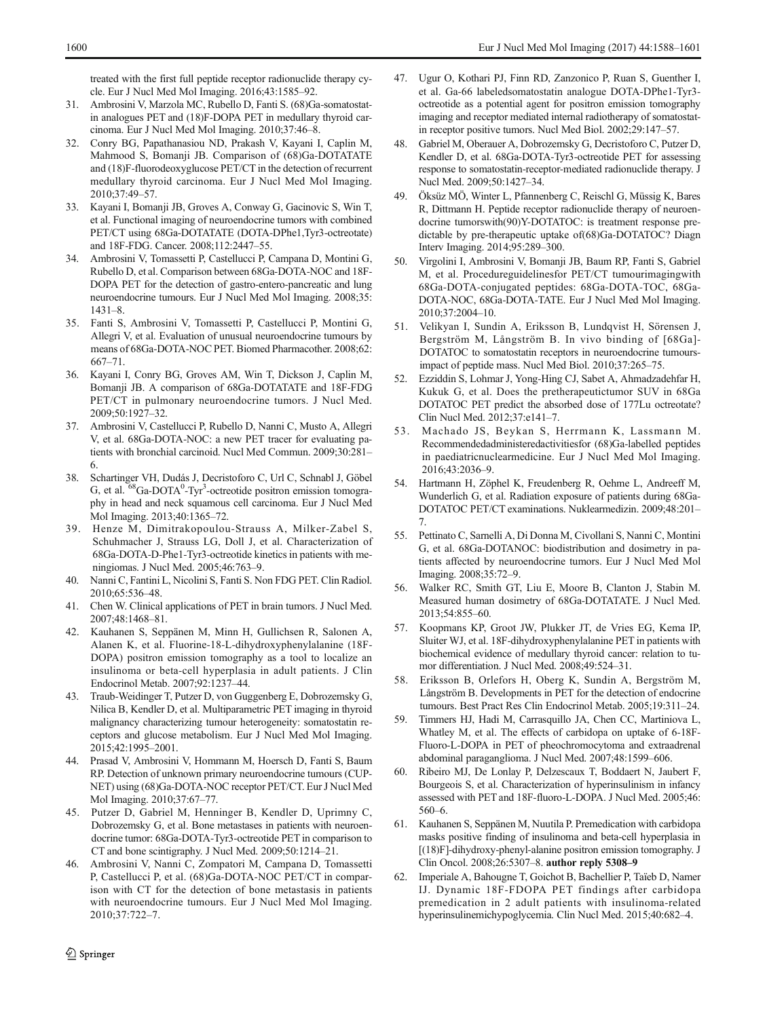<span id="page-12-0"></span>treated with the first full peptide receptor radionuclide therapy cycle. Eur J Nucl Med Mol Imaging. 2016;43:1585–92.

- 31. Ambrosini V, Marzola MC, Rubello D, Fanti S. (68)Ga-somatostatin analogues PET and (18)F-DOPA PET in medullary thyroid carcinoma. Eur J Nucl Med Mol Imaging. 2010;37:46–8.
- 32. Conry BG, Papathanasiou ND, Prakash V, Kayani I, Caplin M, Mahmood S, Bomanji JB. Comparison of (68)Ga-DOTATATE and (18)F-fluorodeoxyglucose PET/CT in the detection of recurrent medullary thyroid carcinoma. Eur J Nucl Med Mol Imaging. 2010;37:49–57.
- 33. Kayani I, Bomanji JB, Groves A, Conway G, Gacinovic S, Win T, et al. Functional imaging of neuroendocrine tumors with combined PET/CT using 68Ga-DOTATATE (DOTA-DPhe1,Tyr3-octreotate) and 18F-FDG. Cancer. 2008;112:2447–55.
- 34. Ambrosini V, Tomassetti P, Castellucci P, Campana D, Montini G, Rubello D, et al. Comparison between 68Ga-DOTA-NOC and 18F-DOPA PET for the detection of gastro-entero-pancreatic and lung neuroendocrine tumours. Eur J Nucl Med Mol Imaging. 2008;35: 1431–8.
- 35. Fanti S, Ambrosini V, Tomassetti P, Castellucci P, Montini G, Allegri V, et al. Evaluation of unusual neuroendocrine tumours by means of 68Ga-DOTA-NOC PET. Biomed Pharmacother. 2008;62: 667–71.
- 36. Kayani I, Conry BG, Groves AM, Win T, Dickson J, Caplin M, Bomanji JB. A comparison of 68Ga-DOTATATE and 18F-FDG PET/CT in pulmonary neuroendocrine tumors. J Nucl Med. 2009;50:1927–32.
- 37. Ambrosini V, Castellucci P, Rubello D, Nanni C, Musto A, Allegri V, et al. 68Ga-DOTA-NOC: a new PET tracer for evaluating patients with bronchial carcinoid. Nucl Med Commun. 2009;30:281– 6.
- 38. Schartinger VH, Dudás J, Decristoforo C, Url C, Schnabl J, Göbel G, et al. <sup>68</sup>Ga-DOTA<sup>0</sup>-Tyr<sup>3</sup>-octreotide positron emission tomography in head and neck squamous cell carcinoma. Eur J Nucl Med Mol Imaging. 2013;40:1365–72.
- 39. Henze M, Dimitrakopoulou-Strauss A, Milker-Zabel S, Schuhmacher J, Strauss LG, Doll J, et al. Characterization of 68Ga-DOTA-D-Phe1-Tyr3-octreotide kinetics in patients with meningiomas. J Nucl Med. 2005;46:763–9.
- 40. Nanni C, Fantini L, Nicolini S, Fanti S. Non FDG PET. Clin Radiol. 2010;65:536–48.
- 41. Chen W. Clinical applications of PET in brain tumors. J Nucl Med. 2007;48:1468–81.
- 42. Kauhanen S, Seppänen M, Minn H, Gullichsen R, Salonen A, Alanen K, et al. Fluorine-18-L-dihydroxyphenylalanine (18F-DOPA) positron emission tomography as a tool to localize an insulinoma or beta-cell hyperplasia in adult patients. J Clin Endocrinol Metab. 2007;92:1237–44.
- 43. Traub-Weidinger T, Putzer D, von Guggenberg E, Dobrozemsky G, Nilica B, Kendler D, et al. Multiparametric PET imaging in thyroid malignancy characterizing tumour heterogeneity: somatostatin receptors and glucose metabolism. Eur J Nucl Med Mol Imaging. 2015;42:1995–2001.
- 44. Prasad V, Ambrosini V, Hommann M, Hoersch D, Fanti S, Baum RP. Detection of unknown primary neuroendocrine tumours (CUP-NET) using (68)Ga-DOTA-NOC receptor PET/CT. Eur J Nucl Med Mol Imaging. 2010;37:67–77.
- 45. Putzer D, Gabriel M, Henninger B, Kendler D, Uprimny C, Dobrozemsky G, et al. Bone metastases in patients with neuroendocrine tumor: 68Ga-DOTA-Tyr3-octreotide PET in comparison to CT and bone scintigraphy. J Nucl Med. 2009;50:1214–21.
- 46. Ambrosini V, Nanni C, Zompatori M, Campana D, Tomassetti P, Castellucci P, et al. (68)Ga-DOTA-NOC PET/CT in comparison with CT for the detection of bone metastasis in patients with neuroendocrine tumours. Eur J Nucl Med Mol Imaging. 2010;37:722–7.
- 47. Ugur O, Kothari PJ, Finn RD, Zanzonico P, Ruan S, Guenther I, et al. Ga-66 labeledsomatostatin analogue DOTA-DPhe1-Tyr3 octreotide as a potential agent for positron emission tomography imaging and receptor mediated internal radiotherapy of somatostatin receptor positive tumors. Nucl Med Biol. 2002;29:147–57.
- 48. Gabriel M, Oberauer A, Dobrozemsky G, Decristoforo C, Putzer D, Kendler D, et al. 68Ga-DOTA-Tyr3-octreotide PET for assessing response to somatostatin-receptor-mediated radionuclide therapy. J Nucl Med. 2009;50:1427–34.
- 49. Öksüz MÖ, Winter L, Pfannenberg C, Reischl G, Müssig K, Bares R, Dittmann H. Peptide receptor radionuclide therapy of neuroendocrine tumorswith(90)Y-DOTATOC: is treatment response predictable by pre-therapeutic uptake of(68)Ga-DOTATOC? Diagn Interv Imaging. 2014;95:289–300.
- 50. Virgolini I, Ambrosini V, Bomanji JB, Baum RP, Fanti S, Gabriel M, et al. Procedureguidelinesfor PET/CT tumourimagingwith 68Ga-DOTA-conjugated peptides: 68Ga-DOTA-TOC, 68Ga-DOTA-NOC, 68Ga-DOTA-TATE. Eur J Nucl Med Mol Imaging. 2010;37:2004–10.
- 51. Velikyan I, Sundin A, Eriksson B, Lundqvist H, Sörensen J, Bergström M, Långström B. In vivo binding of [68Ga]- DOTATOC to somatostatin receptors in neuroendocrine tumoursimpact of peptide mass. Nucl Med Biol. 2010;37:265–75.
- 52. Ezziddin S, Lohmar J, Yong-Hing CJ, Sabet A, Ahmadzadehfar H, Kukuk G, et al. Does the pretherapeutictumor SUV in 68Ga DOTATOC PET predict the absorbed dose of 177Lu octreotate? Clin Nucl Med. 2012;37:e141–7.
- 53. Machado JS, Beykan S, Herrmann K, Lassmann M. Recommendedadministeredactivitiesfor (68)Ga-labelled peptides in paediatricnuclearmedicine. Eur J Nucl Med Mol Imaging. 2016;43:2036–9.
- 54. Hartmann H, Zöphel K, Freudenberg R, Oehme L, Andreeff M, Wunderlich G, et al. Radiation exposure of patients during 68Ga-DOTATOC PET/CT examinations. Nuklearmedizin. 2009;48:201– 7.
- 55. Pettinato C, Sarnelli A, Di Donna M, Civollani S, Nanni C, Montini G, et al. 68Ga-DOTANOC: biodistribution and dosimetry in patients affected by neuroendocrine tumors. Eur J Nucl Med Mol Imaging. 2008;35:72–9.
- 56. Walker RC, Smith GT, Liu E, Moore B, Clanton J, Stabin M. Measured human dosimetry of 68Ga-DOTATATE. J Nucl Med. 2013;54:855–60.
- 57. Koopmans KP, Groot JW, Plukker JT, de Vries EG, Kema IP, Sluiter WJ, et al. 18F-dihydroxyphenylalanine PET in patients with biochemical evidence of medullary thyroid cancer: relation to tumor differentiation. J Nucl Med. 2008;49:524–31.
- 58. Eriksson B, Orlefors H, Oberg K, Sundin A, Bergström M, Långström B. Developments in PET for the detection of endocrine tumours. Best Pract Res Clin Endocrinol Metab. 2005;19:311–24.
- 59. Timmers HJ, Hadi M, Carrasquillo JA, Chen CC, Martiniova L, Whatley M, et al. The effects of carbidopa on uptake of 6-18F-Fluoro-L-DOPA in PET of pheochromocytoma and extraadrenal abdominal paraganglioma. J Nucl Med. 2007;48:1599–606.
- 60. Ribeiro MJ, De Lonlay P, Delzescaux T, Boddaert N, Jaubert F, Bourgeois S, et al. Characterization of hyperinsulinism in infancy assessed with PET and 18F-fluoro-L-DOPA. J Nucl Med. 2005;46: 560–6.
- 61. Kauhanen S, Seppänen M, Nuutila P. Premedication with carbidopa masks positive finding of insulinoma and beta-cell hyperplasia in [(18)F]-dihydroxy-phenyl-alanine positron emission tomography. J Clin Oncol. 2008;26:5307–8. author reply 5308–9
- 62. Imperiale A, Bahougne T, Goichot B, Bachellier P, Taïeb D, Namer IJ. Dynamic 18F-FDOPA PET findings after carbidopa premedication in 2 adult patients with insulinoma-related hyperinsulinemichypoglycemia. Clin Nucl Med. 2015;40:682–4.